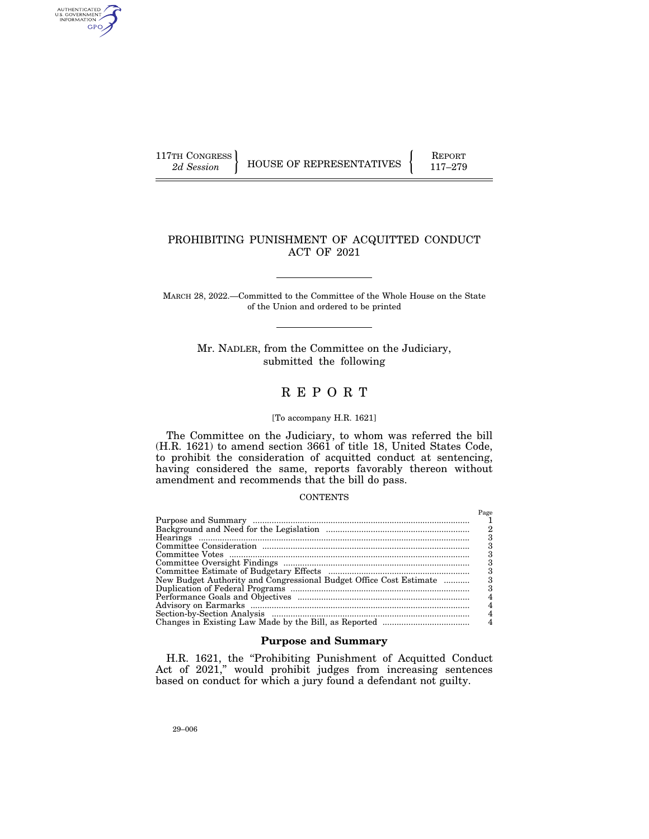AUTHENTICATED<br>U.S. GOVERNMENT<br>INFORMATION GPO

117TH CONGRESS HOUSE OF REPRESENTATIVES FEPORT 117-279

## PROHIBITING PUNISHMENT OF ACQUITTED CONDUCT ACT OF 2021

MARCH 28, 2022.—Committed to the Committee of the Whole House on the State of the Union and ordered to be printed

> Mr. NADLER, from the Committee on the Judiciary, submitted the following

# R E P O R T

## [To accompany H.R. 1621]

The Committee on the Judiciary, to whom was referred the bill (H.R. 1621) to amend section 3661 of title 18, United States Code, to prohibit the consideration of acquitted conduct at sentencing, having considered the same, reports favorably thereon without amendment and recommends that the bill do pass.

#### CONTENTS

|                                                                    | Page |
|--------------------------------------------------------------------|------|
|                                                                    |      |
|                                                                    |      |
|                                                                    |      |
|                                                                    |      |
|                                                                    |      |
|                                                                    | з    |
|                                                                    |      |
| New Budget Authority and Congressional Budget Office Cost Estimate |      |
|                                                                    | з    |
|                                                                    |      |
|                                                                    |      |
|                                                                    |      |
|                                                                    |      |

## **Purpose and Summary**

H.R. 1621, the "Prohibiting Punishment of Acquitted Conduct Act of 2021," would prohibit judges from increasing sentences based on conduct for which a jury found a defendant not guilty.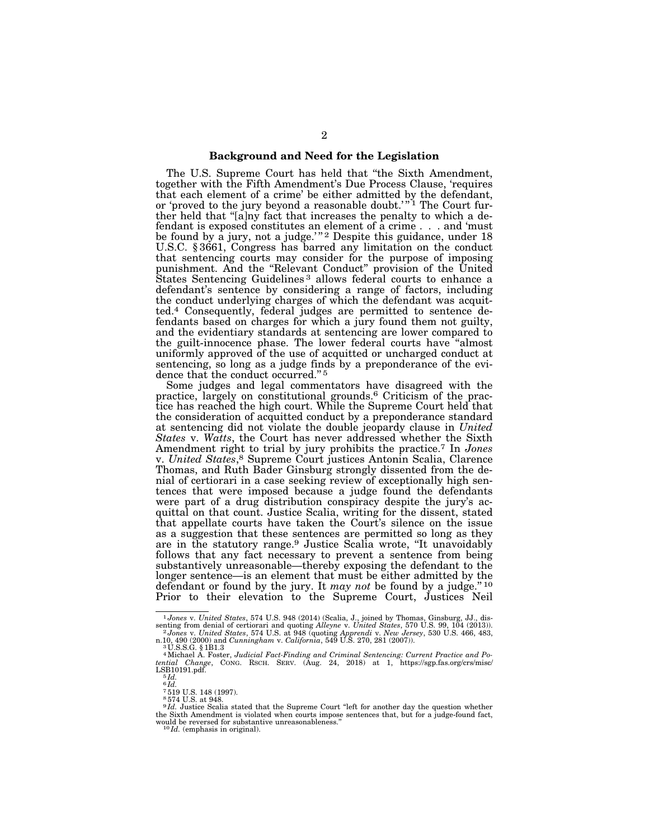## **Background and Need for the Legislation**

The U.S. Supreme Court has held that ''the Sixth Amendment, together with the Fifth Amendment's Due Process Clause, 'requires that each element of a crime' be either admitted by the defendant, or 'proved to the jury beyond a reasonable doubt.'"<sup>I</sup> The Court further held that "[a]ny fact that increases the penalty to which a defendant is exposed constitutes an element of a crime . . . and 'must be found by a jury, not a judge.'"<sup>2</sup> Despite this guidance, under 18 U.S.C. § 3661, Congress has barred any limitation on the conduct that sentencing courts may consider for the purpose of imposing punishment. And the ''Relevant Conduct'' provision of the United States Sentencing Guidelines<sup>3</sup> allows federal courts to enhance a defendant's sentence by considering a range of factors, including the conduct underlying charges of which the defendant was acquitted.4 Consequently, federal judges are permitted to sentence defendants based on charges for which a jury found them not guilty, and the evidentiary standards at sentencing are lower compared to the guilt-innocence phase. The lower federal courts have ''almost uniformly approved of the use of acquitted or uncharged conduct at sentencing, so long as a judge finds by a preponderance of the evidence that the conduct occurred."<sup>5</sup>

Some judges and legal commentators have disagreed with the practice, largely on constitutional grounds.6 Criticism of the practice has reached the high court. While the Supreme Court held that the consideration of acquitted conduct by a preponderance standard at sentencing did not violate the double jeopardy clause in *United States* v. *Watts*, the Court has never addressed whether the Sixth Amendment right to trial by jury prohibits the practice.7 In *Jones*  v. *United States*,8 Supreme Court justices Antonin Scalia, Clarence Thomas, and Ruth Bader Ginsburg strongly dissented from the denial of certiorari in a case seeking review of exceptionally high sentences that were imposed because a judge found the defendants were part of a drug distribution conspiracy despite the jury's acquittal on that count. Justice Scalia, writing for the dissent, stated that appellate courts have taken the Court's silence on the issue as a suggestion that these sentences are permitted so long as they are in the statutory range.<sup>9</sup> Justice Scalia wrote, "It unavoidably follows that any fact necessary to prevent a sentence from being substantively unreasonable—thereby exposing the defendant to the longer sentence—is an element that must be either admitted by the defendant or found by the jury. It *may not* be found by a judge.'' 10 Prior to their elevation to the Supreme Court, Justices Neil

<sup>1</sup>*Jones* v. *United States*, 574 U.S. 948 (2014) (Scalia, J., joined by Thomas, Ginsburg, JJ., dissenting from denial of certiorari and quoting Alleyne v. United States, 570 U.S. 99, 104 (2013)).<br><sup>2</sup> Jones v. United States, 574 U.S. at 948 (quoting Apprendi v. New Jersey, 530 U.S. 466, 483, n.10, 490 (2000) and Cunning

n.10, 490 (2000) and *Cunningham v. California*, 549 U.S. 270, 281 (2007)).<br><sup>3</sup> U.S.S.G. § 1B1.3<br>"Michael A. Foster, *Judicial Fact-Finding and Criminal Sentencing: Current Practice and Po-<br><i>tential Change*, CONG. RSCH. SE  $LSB10191.pdf$ .<br> $5 Id.$ 

 $6 Id.$ 

<sup>7</sup> 519 U.S. 148 (1997). 8 574 U.S. at 948.

<sup>&</sup>lt;sup>9 Id.</sup> Justice Scalia stated that the Supreme Court "left for another day the question whether the Sixth Amendment is violated when courts impose sentences that, but for a judge-found fact, would be reversed for substantive unreasonableness.<sup>10</sup>*Id.* (emphasis in original).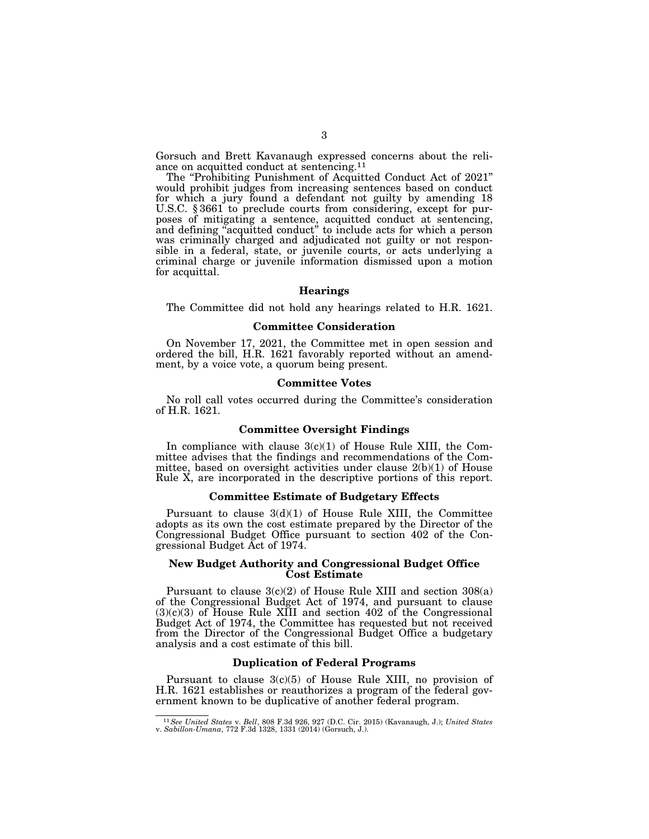Gorsuch and Brett Kavanaugh expressed concerns about the reliance on acquitted conduct at sentencing.11

The "Prohibiting Punishment of Acquitted Conduct Act of 2021" would prohibit judges from increasing sentences based on conduct for which a jury found a defendant not guilty by amending 18 U.S.C. § 3661 to preclude courts from considering, except for purposes of mitigating a sentence, acquitted conduct at sentencing, and defining ''acquitted conduct'' to include acts for which a person was criminally charged and adjudicated not guilty or not responsible in a federal, state, or juvenile courts, or acts underlying a criminal charge or juvenile information dismissed upon a motion for acquittal.

#### **Hearings**

The Committee did not hold any hearings related to H.R. 1621.

#### **Committee Consideration**

On November 17, 2021, the Committee met in open session and ordered the bill, H.R. 1621 favorably reported without an amendment, by a voice vote, a quorum being present.

#### **Committee Votes**

No roll call votes occurred during the Committee's consideration of H.R. 1621.

#### **Committee Oversight Findings**

In compliance with clause  $3(c)(1)$  of House Rule XIII, the Committee advises that the findings and recommendations of the Committee, based on oversight activities under clause 2(b)(1) of House Rule X, are incorporated in the descriptive portions of this report.

#### **Committee Estimate of Budgetary Effects**

Pursuant to clause  $3(d)(1)$  of House Rule XIII, the Committee adopts as its own the cost estimate prepared by the Director of the Congressional Budget Office pursuant to section 402 of the Congressional Budget Act of 1974.

#### **New Budget Authority and Congressional Budget Office Cost Estimate**

Pursuant to clause 3(c)(2) of House Rule XIII and section 308(a) of the Congressional Budget Act of 1974, and pursuant to clause  $(3)(c)(3)$  of House Rule XIII and section 402 of the Congressional Budget Act of 1974, the Committee has requested but not received from the Director of the Congressional Budget Office a budgetary analysis and a cost estimate of this bill.

#### **Duplication of Federal Programs**

Pursuant to clause 3(c)(5) of House Rule XIII, no provision of H.R. 1621 establishes or reauthorizes a program of the federal government known to be duplicative of another federal program.

<sup>11</sup>*See United States* v. *Bell*, 808 F.3d 926, 927 (D.C. Cir. 2015) (Kavanaugh, J.); *United States* v. *Sabillon-Umana*, 772 F.3d 1328, 1331 (2014) (Gorsuch, J.).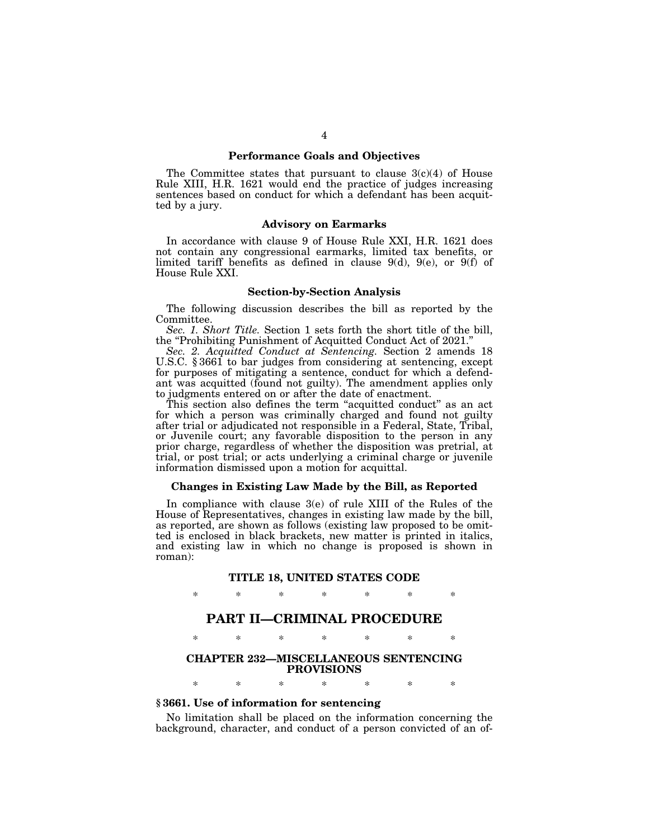#### **Performance Goals and Objectives**

The Committee states that pursuant to clause  $3(c)(4)$  of House Rule XIII, H.R. 1621 would end the practice of judges increasing sentences based on conduct for which a defendant has been acquitted by a jury.

#### **Advisory on Earmarks**

In accordance with clause 9 of House Rule XXI, H.R. 1621 does not contain any congressional earmarks, limited tax benefits, or limited tariff benefits as defined in clause 9(d), 9(e), or 9(f) of House Rule XXI.

## **Section-by-Section Analysis**

The following discussion describes the bill as reported by the Committee.

*Sec. 1. Short Title.* Section 1 sets forth the short title of the bill, the ''Prohibiting Punishment of Acquitted Conduct Act of 2021.''

*Sec. 2. Acquitted Conduct at Sentencing.* Section 2 amends 18 U.S.C. § 3661 to bar judges from considering at sentencing, except for purposes of mitigating a sentence, conduct for which a defendant was acquitted (found not guilty). The amendment applies only to judgments entered on or after the date of enactment.

This section also defines the term ''acquitted conduct'' as an act for which a person was criminally charged and found not guilty after trial or adjudicated not responsible in a Federal, State, Tribal, or Juvenile court; any favorable disposition to the person in any prior charge, regardless of whether the disposition was pretrial, at trial, or post trial; or acts underlying a criminal charge or juvenile information dismissed upon a motion for acquittal.

#### **Changes in Existing Law Made by the Bill, as Reported**

In compliance with clause 3(e) of rule XIII of the Rules of the House of Representatives, changes in existing law made by the bill, as reported, are shown as follows (existing law proposed to be omitted is enclosed in black brackets, new matter is printed in italics, and existing law in which no change is proposed is shown in roman):

# **TITLE 18, UNITED STATES CODE**  \* \* \* \* \* \* \*

## **PART II—CRIMINAL PROCEDURE**

# \* \* \* \* \* \* \*

## **CHAPTER 232—MISCELLANEOUS SENTENCING PROVISIONS**

\* \* \* \* \* \* \*

### **§ 3661. Use of information for sentencing**

No limitation shall be placed on the information concerning the background, character, and conduct of a person convicted of an of